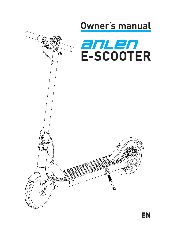

EN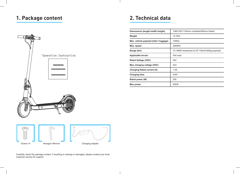# **1. Package content 2. Technical data**



| Dimensions (length/width/height)       | 1080*430*1140mm unfolded/490mm folded         |  |
|----------------------------------------|-----------------------------------------------|--|
| Weight                                 | 12.7KG                                        |  |
| Max. vehicle payload (rider + luggage) | 100KG                                         |  |
| Max. speed                             | 20KM/H                                        |  |
| Range (km)                             | 15-18KM (measured at 25°/15km/h/65kg payload) |  |
| Applicable terrain                     | Flat road                                     |  |
| <b>Rated Voltage (VDC)</b>             | 36V                                           |  |
| Max charging voltage (VDC)             | 42V                                           |  |
| <b>Charging Rated current (A)</b>      | 1.5A                                          |  |
| <b>Charging time</b>                   | $5-6H$                                        |  |
| Rated power (W)                        | 250                                           |  |
| Max power                              | 500W                                          |  |



Carefully check the package content. If anything is missing or damaged, please contact your local customer service for support.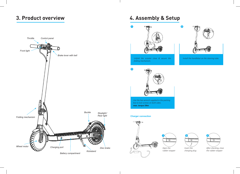# **3. Product overview**



# **4. Assembly & Setup**



*Unfold the scooter close & secure the Install the handlebar on the steering tube. folding mechanism.*



*Use the hex wrench supplied in the packing box to lock screws on both sides. max. torque 5Nm*

### **Charger connection**





**2**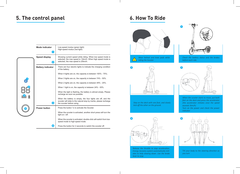# **5. The control panel**

| <b>Mode indicator</b><br>П | Low-speed modus (green light)<br>High-speed modus (red light)                                                                                                  |
|----------------------------|----------------------------------------------------------------------------------------------------------------------------------------------------------------|
| Speed display<br>Q         | Showing current speed while riding. When low speed mode is<br>selected, the max speed is 12km/h. When high speed mode is<br>selected, the max speed is 20km/h. |
| <b>Battery indicator</b>   | There are four electric lights to indicate the charging condition<br>of the battery.                                                                           |
|                            | When 4 lights are on, the capacity is between 100% - 75%;                                                                                                      |
|                            | When 3 lights are on, the capacity is between 74% - 50%.                                                                                                       |
|                            | When 2 lights are on, the capacity is between 49% - 25%.                                                                                                       |
|                            | When 1 light is on, the capacity is between 24% - 00%.                                                                                                         |
|                            | When the light is flashing, the battery is almost empty. Please<br>recharge as soon as possible.                                                               |
| ❸                          | When the battery is empty, the four lights are off, and the<br>scooter will slide to the natural stop by inertia, please recharge<br>the scooter before using. |
| <b>Power button</b>        | Press the button 1x to activate the Scooter.                                                                                                                   |
|                            | When the scooter is activated, another short press will turn the<br>light on / off.                                                                            |
|                            | When the scooter is activated, double-click will switch from low-<br>speed mode to high-speed mode.                                                            |
| 4                          | Press the button for 2 seconds to switch the scooter off.                                                                                                      |

# **6. How To Ride**



*Wear helmet and knee pads while*  Л *riding the Scooter*



*Step on the deck with one foot, and slowly kick off the other on the ground.*



*Check the battery status and the brakes before each ride.*



*When the scooter starts to move, put both feet on the deck and press the accelerator (the accelerator initiates once the speed exceeds 5km/h)* 

*Turn on the power and check the power indicator*



*Tilt your body to the steering direction as you turn*



**4**

*Release the throttle to stop acceleration. Energy recovery system automatically initiates to help slowing down. Use the brake lever to stop.*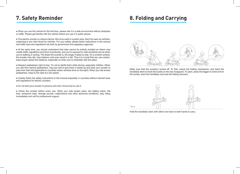## **7. Safety Reminder**

● When you use this vehicle for the first time, please ride it in a safe environment without obstacles or traffic. Please get familiar with the vehicle before you use it in public places.

● This electric scooter is a leisure device. But once used in a public area, they'll be seen as vehicles, subjecting to any risks faced by vehicles. For your safety, please follow instructions in the manual and traffic laws and regulations set forth by government and regulatory agencies.

● At the same time, you should understand that risks cannot be entirely avoided as others may violate traffic regulations and drive incautiously, and you're exposed to road accidents just as when you're walking or cycling. The faster the scooter is, the longer it takes to stop. On a smooth surface, the scooter may slip, lose balance, and even result in a fall. Thus it is crucial that you use caution, keep proper speed and distance, especially so when you're unfamiliar with the place.

● Respect pedestrians right of way. Try not to startle them while driving, especially children. When you ride from behind pedestrians, ring your bell to give them a heads-up and slow your scooter to pass from their left (applicable to countries where vehicles drive on the right). When you ride across pedestrians, keep to the right at a low speed.

● Closely follow the safety instructions in the manual especially in countries without relevant laws and regulations for electric scooters.

• Do not lend your scooter to persons who don't know how to use it.

● Check the scooter before every use. When you note loosen parts, low battery alerts, flat tires, excessive wear, strange sounds, malfunctions and other abnormal conditions, stop riding immediately and call for professional support.

# **8. Folding and Carrying**



Make sure that the scooter's turned off. To fold, unlock the folding mechanism, and bend the handlebar stem to hook the buckle on the rear mudguard. To open, press the trigger to remove from the buckle, erect the handlebar and lock the folding structure.



Hold the handlebar stem with either one hand or both hands to carry.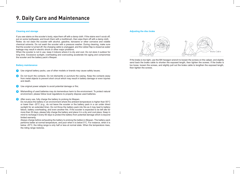## **9. Daily Care and Maintenance**

### **Cleaning and storage**

If you see stains on the scooter's body, wipe them off with a damp cloth. If the stains won't scrub off, put on some toothpaste, and brush them with a toothbrush, then wipe them off with a damp cloth. Notes: do not clean the scooter with alcohol, gasoline, kerosene or other corrosive and volatile chemical solvents. Do not wash the scooter with a pressure washer. During cleaning, make sure that the scooter is turned off, the charging cable is unplugged, and the rubber flap is closed as water leakage may result in electric shock or other major problems.

When the scooter is not in use, keep it indoors where it is dry and cool. Do not store it outdoor for long time. Excessive sunlight, overheating and overcooling accelerate tire aging and compromise the scooter and the battery pack's lifespan.

#### **Battery maintenance**

- **1** Use original battery packs, use of other models or brands may cause safety issues;
- **2** Do not touch the contacts. Do not dismantle or puncture the casing. Keep the contacts away from metal objects to prevent short circuit which may result in battery damage or even injuries and death.
- **3** Use original power adapter to avoid potential damage or fire;
- **4** Mishandling of used batteries may do tremendous harm to the environment. To protect natural environment, please follow local regulations to properly dispose used batteries.
- **5** After every use, fully charge the battery to prolong its lifespan.

Do not place the battery in an environment where the ambient temperature is higher than 50°C or lower than -20°C (e.g., do not leave the scooter or the battery pack in a car under direct sunlight for an extended time). Do not throw the battery pack into fire as it may lead to battery failure, battery overheating, and even another fire. If the scooter is expected to be left idle for more than 30 days, please fully charge the battery and place it in a dry and cool place. Keep in mind to recharge it every 60 days to protect the battery from potential damage which is beyond limited warranty.

Always charge before exhausting the battery to prolong the battery's lifespan. The battery pack performs better at normal temperature, and poor when it is below 0°C. For instance, when it is below -20°C, the riding range is only half or less at normal state. When the temperature rises, the riding range restores.

### **Adjusting the disc brake**



If the brake is too tight, use the M4 hexagon wrench to loosen the screws on the caliper, and slightly send back the brake cable to shorten the exposed length, then tighten the screws. If the brake is too loose, loosen the screws, and slightly pull out the brake cable to lengthen the exposed length, then tighten the screws.